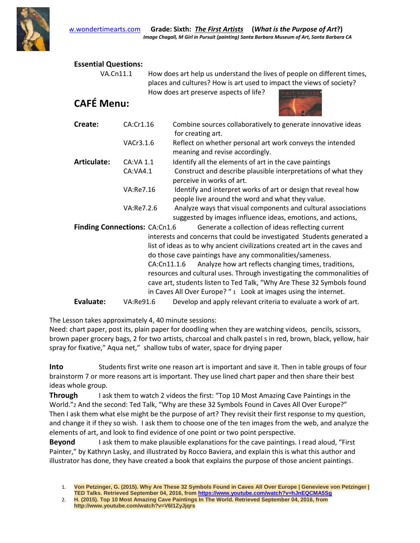

## **Essential Questions:**

VA.Cn11.1 How does art help us understand the lives of people on different times, places and cultures? How is art used to impact the views of society? How does art preserve aspects of life?

## **CAFÉ Menu:**



| Create:                              | CA:Cr1.16  | Combine sources collaboratively to generate innovative ideas<br>for creating art.                                                                                                                                |
|--------------------------------------|------------|------------------------------------------------------------------------------------------------------------------------------------------------------------------------------------------------------------------|
|                                      | VACr3.1.6  | Reflect on whether personal art work conveys the intended<br>meaning and revise accordingly.                                                                                                                     |
| Articulate:                          | CA: VA 1.1 | Identify all the elements of art in the cave paintings                                                                                                                                                           |
|                                      | CA:VA4.1   | Construct and describe plausible interpretations of what they<br>perceive in works of art.                                                                                                                       |
|                                      | VA:Re7.16  | Identify and interpret works of art or design that reveal how<br>people live around the word and what they value.                                                                                                |
|                                      | VA:Re7.2.6 | Analyze ways that visual components and cultural associations<br>suggested by images influence ideas, emotions, and actions,                                                                                     |
| <b>Finding Connections: CA:Cn1.6</b> |            | Generate a collection of ideas reflecting current                                                                                                                                                                |
|                                      |            | interests and concerns that could be investigated Students generated a<br>list of ideas as to why ancient civilizations created art in the caves and<br>do those cave paintings have any commonalities/sameness. |
|                                      |            | Analyze how art reflects changing times, traditions,<br>CA:Cn11.1.6                                                                                                                                              |
|                                      |            | resources and cultural uses. Through investigating the commonalities of                                                                                                                                          |

cave art, students listen to Ted Talk, "Why Are These 32 Symbols found in Caves All Over Europe? " 1 Look at images using the internet.

**Evaluate:** VA:Re91.6 Develop and apply relevant criteria to evaluate a work of art.

The Lesson takes approximately 4, 40 minute sessions:

Need: chart paper, post its, plain paper for doodling when they are watching videos, pencils, scissors, brown paper grocery bags, 2 for two artists, charcoal and chalk pastel s in red, brown, black, yellow, hair spray for fixative," Aqua net," shallow tubs of water, space for drying paper

**Into** Students first write one reason art is important and save it. Then in table groups of four brainstorm 7 or more reasons art is important. They use lined chart paper and then share their best ideas whole group.

**Through** I ask them to watch 2 videos the first: "Top 10 Most Amazing Cave Paintings in the World."2 And the second: Ted Talk, "Why are these 32 Symbols Found in Caves All Over Europe?" Then I ask them what else might be the purpose of art? They revisit their first response to my question, and change it if they so wish. I ask them to choose one of the ten images from the web, and analyze the elements of art, and look to find evidence of one point or two point perspective.

**Beyond** I ask them to make plausible explanations for the cave paintings. I read aloud, "First Painter," by Kathryn Lasky, and illustrated by Rocco Baviera, and explain this is what this author and illustrator has done, they have created a book that explains the purpose of those ancient paintings.

<sup>1.</sup> **Von Petzinger, G. (2015). Why Are These 32 Symbols Found in Caves All Over Europe | Genevieve von Petzinger | TED Talks. Retrieved September 04, 2016, from https://www.youtube.com/watch?v=hJnEQCMA5Sg**

<sup>2.</sup> **H. (2015). Top 10 Most Amazing Cave Paintings In The World. Retrieved September 04, 2016, from http://www.youtube.com/watch?v=V6I1ZyJjqrs**